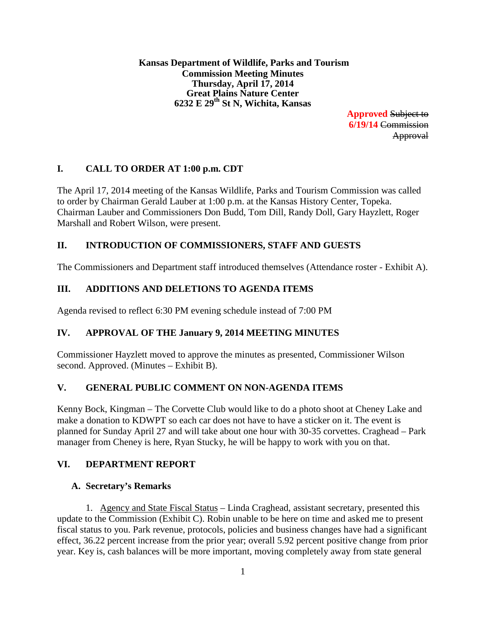**Kansas Department of Wildlife, Parks and Tourism Commission Meeting Minutes Thursday, April 17, 2014 Great Plains Nature Center 6232 E 29th St N, Wichita, Kansas**

> **Approved** Subject to **6/19/14** Commission Approval

# **I. CALL TO ORDER AT 1:00 p.m. CDT**

The April 17, 2014 meeting of the Kansas Wildlife, Parks and Tourism Commission was called to order by Chairman Gerald Lauber at 1:00 p.m. at the Kansas History Center, Topeka. Chairman Lauber and Commissioners Don Budd, Tom Dill, Randy Doll, Gary Hayzlett, Roger Marshall and Robert Wilson, were present.

# **II. INTRODUCTION OF COMMISSIONERS, STAFF AND GUESTS**

The Commissioners and Department staff introduced themselves (Attendance roster - Exhibit A).

### **III. ADDITIONS AND DELETIONS TO AGENDA ITEMS**

Agenda revised to reflect 6:30 PM evening schedule instead of 7:00 PM

# **IV. APPROVAL OF THE January 9, 2014 MEETING MINUTES**

Commissioner Hayzlett moved to approve the minutes as presented, Commissioner Wilson second. Approved. (Minutes – Exhibit B).

### **V. GENERAL PUBLIC COMMENT ON NON-AGENDA ITEMS**

Kenny Bock, Kingman – The Corvette Club would like to do a photo shoot at Cheney Lake and make a donation to KDWPT so each car does not have to have a sticker on it. The event is planned for Sunday April 27 and will take about one hour with 30-35 corvettes. Craghead – Park manager from Cheney is here, Ryan Stucky, he will be happy to work with you on that.

# **VI. DEPARTMENT REPORT**

### **A. Secretary's Remarks**

1. Agency and State Fiscal Status – Linda Craghead, assistant secretary, presented this update to the Commission (Exhibit C). Robin unable to be here on time and asked me to present fiscal status to you. Park revenue, protocols, policies and business changes have had a significant effect, 36.22 percent increase from the prior year; overall 5.92 percent positive change from prior year. Key is, cash balances will be more important, moving completely away from state general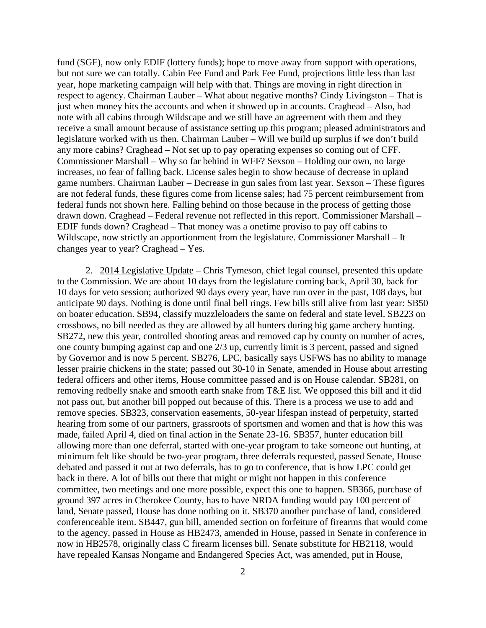fund (SGF), now only EDIF (lottery funds); hope to move away from support with operations, but not sure we can totally. Cabin Fee Fund and Park Fee Fund, projections little less than last year, hope marketing campaign will help with that. Things are moving in right direction in respect to agency. Chairman Lauber – What about negative months? Cindy Livingston – That is just when money hits the accounts and when it showed up in accounts. Craghead – Also, had note with all cabins through Wildscape and we still have an agreement with them and they receive a small amount because of assistance setting up this program; pleased administrators and legislature worked with us then. Chairman Lauber – Will we build up surplus if we don't build any more cabins? Craghead – Not set up to pay operating expenses so coming out of CFF. Commissioner Marshall – Why so far behind in WFF? Sexson – Holding our own, no large increases, no fear of falling back. License sales begin to show because of decrease in upland game numbers. Chairman Lauber – Decrease in gun sales from last year. Sexson – These figures are not federal funds, these figures come from license sales; had 75 percent reimbursement from federal funds not shown here. Falling behind on those because in the process of getting those drawn down. Craghead – Federal revenue not reflected in this report. Commissioner Marshall – EDIF funds down? Craghead – That money was a onetime proviso to pay off cabins to Wildscape, now strictly an apportionment from the legislature. Commissioner Marshall – It changes year to year? Craghead – Yes.

2. 2014 Legislative Update – Chris Tymeson, chief legal counsel, presented this update to the Commission. We are about 10 days from the legislature coming back, April 30, back for 10 days for veto session; authorized 90 days every year, have run over in the past, 108 days, but anticipate 90 days. Nothing is done until final bell rings. Few bills still alive from last year: SB50 on boater education. SB94, classify muzzleloaders the same on federal and state level. SB223 on crossbows, no bill needed as they are allowed by all hunters during big game archery hunting. SB272, new this year, controlled shooting areas and removed cap by county on number of acres, one county bumping against cap and one 2/3 up, currently limit is 3 percent, passed and signed by Governor and is now 5 percent. SB276, LPC, basically says USFWS has no ability to manage lesser prairie chickens in the state; passed out 30-10 in Senate, amended in House about arresting federal officers and other items, House committee passed and is on House calendar. SB281, on removing redbelly snake and smooth earth snake from T&E list. We opposed this bill and it did not pass out, but another bill popped out because of this. There is a process we use to add and remove species. SB323, conservation easements, 50-year lifespan instead of perpetuity, started hearing from some of our partners, grassroots of sportsmen and women and that is how this was made, failed April 4, died on final action in the Senate 23-16. SB357, hunter education bill allowing more than one deferral, started with one-year program to take someone out hunting, at minimum felt like should be two-year program, three deferrals requested, passed Senate, House debated and passed it out at two deferrals, has to go to conference, that is how LPC could get back in there. A lot of bills out there that might or might not happen in this conference committee, two meetings and one more possible, expect this one to happen. SB366, purchase of ground 397 acres in Cherokee County, has to have NRDA funding would pay 100 percent of land, Senate passed, House has done nothing on it. SB370 another purchase of land, considered conferenceable item. SB447, gun bill, amended section on forfeiture of firearms that would come to the agency, passed in House as HB2473, amended in House, passed in Senate in conference in now in HB2578, originally class C firearm licenses bill. Senate substitute for HB2118, would have repealed Kansas Nongame and Endangered Species Act, was amended, put in House,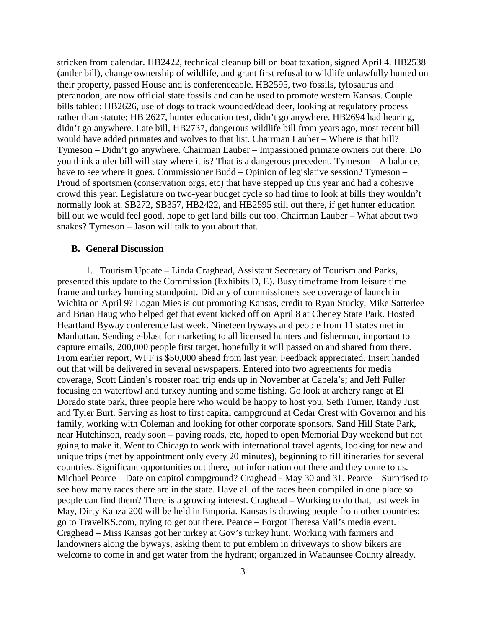stricken from calendar. HB2422, technical cleanup bill on boat taxation, signed April 4. HB2538 (antler bill), change ownership of wildlife, and grant first refusal to wildlife unlawfully hunted on their property, passed House and is conferenceable. HB2595, two fossils, tylosaurus and pteranodon, are now official state fossils and can be used to promote western Kansas. Couple bills tabled: HB2626, use of dogs to track wounded/dead deer, looking at regulatory process rather than statute; HB 2627, hunter education test, didn't go anywhere. HB2694 had hearing, didn't go anywhere. Late bill, HB2737, dangerous wildlife bill from years ago, most recent bill would have added primates and wolves to that list. Chairman Lauber – Where is that bill? Tymeson – Didn't go anywhere. Chairman Lauber – Impassioned primate owners out there. Do you think antler bill will stay where it is? That is a dangerous precedent. Tymeson – A balance, have to see where it goes. Commissioner Budd – Opinion of legislative session? Tymeson – Proud of sportsmen (conservation orgs, etc) that have stepped up this year and had a cohesive crowd this year. Legislature on two-year budget cycle so had time to look at bills they wouldn't normally look at. SB272, SB357, HB2422, and HB2595 still out there, if get hunter education bill out we would feel good, hope to get land bills out too. Chairman Lauber – What about two snakes? Tymeson – Jason will talk to you about that.

#### **B. General Discussion**

1. Tourism Update – Linda Craghead, Assistant Secretary of Tourism and Parks, presented this update to the Commission (Exhibits D, E). Busy timeframe from leisure time frame and turkey hunting standpoint. Did any of commissioners see coverage of launch in Wichita on April 9? Logan Mies is out promoting Kansas, credit to Ryan Stucky, Mike Satterlee and Brian Haug who helped get that event kicked off on April 8 at Cheney State Park. Hosted Heartland Byway conference last week. Nineteen byways and people from 11 states met in Manhattan. Sending e-blast for marketing to all licensed hunters and fisherman, important to capture emails, 200,000 people first target, hopefully it will passed on and shared from there. From earlier report, WFF is \$50,000 ahead from last year. Feedback appreciated. Insert handed out that will be delivered in several newspapers. Entered into two agreements for media coverage, Scott Linden's rooster road trip ends up in November at Cabela's; and Jeff Fuller focusing on waterfowl and turkey hunting and some fishing. Go look at archery range at El Dorado state park, three people here who would be happy to host you, Seth Turner, Randy Just and Tyler Burt. Serving as host to first capital campground at Cedar Crest with Governor and his family, working with Coleman and looking for other corporate sponsors. Sand Hill State Park, near Hutchinson, ready soon – paving roads, etc, hoped to open Memorial Day weekend but not going to make it. Went to Chicago to work with international travel agents, looking for new and unique trips (met by appointment only every 20 minutes), beginning to fill itineraries for several countries. Significant opportunities out there, put information out there and they come to us. Michael Pearce – Date on capitol campground? Craghead - May 30 and 31. Pearce – Surprised to see how many races there are in the state. Have all of the races been compiled in one place so people can find them? There is a growing interest. Craghead – Working to do that, last week in May, Dirty Kanza 200 will be held in Emporia. Kansas is drawing people from other countries; go to TravelKS.com, trying to get out there. Pearce – Forgot Theresa Vail's media event. Craghead – Miss Kansas got her turkey at Gov's turkey hunt. Working with farmers and landowners along the byways, asking them to put emblem in driveways to show bikers are welcome to come in and get water from the hydrant; organized in Wabaunsee County already.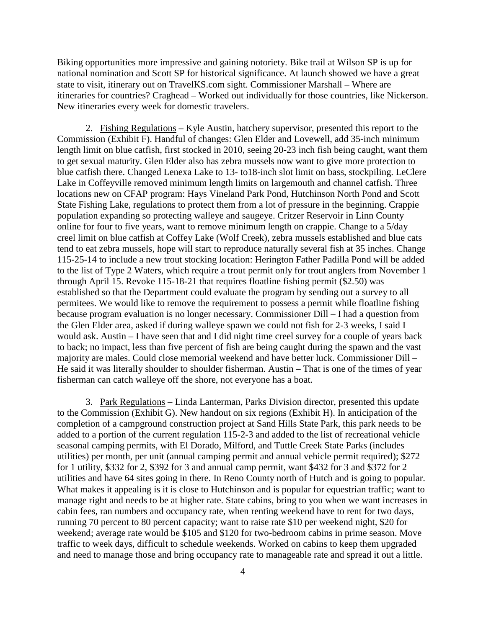Biking opportunities more impressive and gaining notoriety. Bike trail at Wilson SP is up for national nomination and Scott SP for historical significance. At launch showed we have a great state to visit, itinerary out on TravelKS.com sight. Commissioner Marshall – Where are itineraries for countries? Craghead – Worked out individually for those countries, like Nickerson. New itineraries every week for domestic travelers.

2. Fishing Regulations – Kyle Austin, hatchery supervisor, presented this report to the Commission (Exhibit F). Handful of changes: Glen Elder and Lovewell, add 35-inch minimum length limit on blue catfish, first stocked in 2010, seeing 20-23 inch fish being caught, want them to get sexual maturity. Glen Elder also has zebra mussels now want to give more protection to blue catfish there. Changed Lenexa Lake to 13- to18-inch slot limit on bass, stockpiling. LeClere Lake in Coffeyville removed minimum length limits on largemouth and channel catfish. Three locations new on CFAP program: Hays Vineland Park Pond, Hutchinson North Pond and Scott State Fishing Lake, regulations to protect them from a lot of pressure in the beginning. Crappie population expanding so protecting walleye and saugeye. Critzer Reservoir in Linn County online for four to five years, want to remove minimum length on crappie. Change to a 5/day creel limit on blue catfish at Coffey Lake (Wolf Creek), zebra mussels established and blue cats tend to eat zebra mussels, hope will start to reproduce naturally several fish at 35 inches. Change 115-25-14 to include a new trout stocking location: Herington Father Padilla Pond will be added to the list of Type 2 Waters, which require a trout permit only for trout anglers from November 1 through April 15. Revoke 115-18-21 that requires floatline fishing permit (\$2.50) was established so that the Department could evaluate the program by sending out a survey to all permitees. We would like to remove the requirement to possess a permit while floatline fishing because program evaluation is no longer necessary. Commissioner Dill – I had a question from the Glen Elder area, asked if during walleye spawn we could not fish for 2-3 weeks, I said I would ask. Austin – I have seen that and I did night time creel survey for a couple of years back to back; no impact, less than five percent of fish are being caught during the spawn and the vast majority are males. Could close memorial weekend and have better luck. Commissioner Dill – He said it was literally shoulder to shoulder fisherman. Austin – That is one of the times of year fisherman can catch walleye off the shore, not everyone has a boat.

3. Park Regulations – Linda Lanterman, Parks Division director, presented this update to the Commission (Exhibit G). New handout on six regions (Exhibit H). In anticipation of the completion of a campground construction project at Sand Hills State Park, this park needs to be added to a portion of the current regulation 115-2-3 and added to the list of recreational vehicle seasonal camping permits, with El Dorado, Milford, and Tuttle Creek State Parks (includes utilities) per month, per unit (annual camping permit and annual vehicle permit required); \$272 for 1 utility, \$332 for 2, \$392 for 3 and annual camp permit, want \$432 for 3 and \$372 for 2 utilities and have 64 sites going in there. In Reno County north of Hutch and is going to popular. What makes it appealing is it is close to Hutchinson and is popular for equestrian traffic; want to manage right and needs to be at higher rate. State cabins, bring to you when we want increases in cabin fees, ran numbers and occupancy rate, when renting weekend have to rent for two days, running 70 percent to 80 percent capacity; want to raise rate \$10 per weekend night, \$20 for weekend; average rate would be \$105 and \$120 for two-bedroom cabins in prime season. Move traffic to week days, difficult to schedule weekends. Worked on cabins to keep them upgraded and need to manage those and bring occupancy rate to manageable rate and spread it out a little.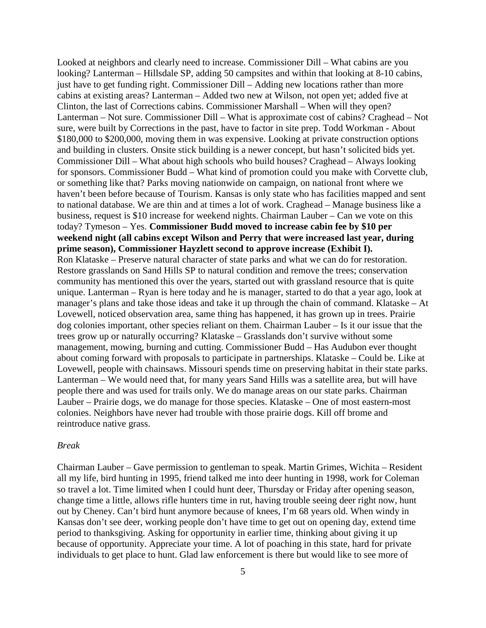Looked at neighbors and clearly need to increase. Commissioner Dill – What cabins are you looking? Lanterman – Hillsdale SP, adding 50 campsites and within that looking at 8-10 cabins, just have to get funding right. Commissioner Dill – Adding new locations rather than more cabins at existing areas? Lanterman – Added two new at Wilson, not open yet; added five at Clinton, the last of Corrections cabins. Commissioner Marshall – When will they open? Lanterman – Not sure. Commissioner Dill – What is approximate cost of cabins? Craghead – Not sure, were built by Corrections in the past, have to factor in site prep. Todd Workman - About \$180,000 to \$200,000, moving them in was expensive. Looking at private construction options and building in clusters. Onsite stick building is a newer concept, but hasn't solicited bids yet. Commissioner Dill – What about high schools who build houses? Craghead – Always looking for sponsors. Commissioner Budd – What kind of promotion could you make with Corvette club, or something like that? Parks moving nationwide on campaign, on national front where we haven't been before because of Tourism. Kansas is only state who has facilities mapped and sent to national database. We are thin and at times a lot of work. Craghead – Manage business like a business, request is \$10 increase for weekend nights. Chairman Lauber – Can we vote on this today? Tymeson – Yes. **Commissioner Budd moved to increase cabin fee by \$10 per weekend night (all cabins except Wilson and Perry that were increased last year, during prime season), Commissioner Hayzlett second to approve increase (Exhibit I).** Ron Klataske – Preserve natural character of state parks and what we can do for restoration. Restore grasslands on Sand Hills SP to natural condition and remove the trees; conservation community has mentioned this over the years, started out with grassland resource that is quite unique. Lanterman – Ryan is here today and he is manager, started to do that a year ago, look at manager's plans and take those ideas and take it up through the chain of command. Klataske – At Lovewell, noticed observation area, same thing has happened, it has grown up in trees. Prairie dog colonies important, other species reliant on them. Chairman Lauber – Is it our issue that the trees grow up or naturally occurring? Klataske – Grasslands don't survive without some management, mowing, burning and cutting. Commissioner Budd – Has Audubon ever thought about coming forward with proposals to participate in partnerships. Klataske – Could be. Like at Lovewell, people with chainsaws. Missouri spends time on preserving habitat in their state parks. Lanterman – We would need that, for many years Sand Hills was a satellite area, but will have people there and was used for trails only. We do manage areas on our state parks. Chairman Lauber – Prairie dogs, we do manage for those species. Klataske – One of most eastern-most colonies. Neighbors have never had trouble with those prairie dogs. Kill off brome and reintroduce native grass.

#### *Break*

Chairman Lauber – Gave permission to gentleman to speak. Martin Grimes, Wichita – Resident all my life, bird hunting in 1995, friend talked me into deer hunting in 1998, work for Coleman so travel a lot. Time limited when I could hunt deer, Thursday or Friday after opening season, change time a little, allows rifle hunters time in rut, having trouble seeing deer right now, hunt out by Cheney. Can't bird hunt anymore because of knees, I'm 68 years old. When windy in Kansas don't see deer, working people don't have time to get out on opening day, extend time period to thanksgiving. Asking for opportunity in earlier time, thinking about giving it up because of opportunity. Appreciate your time. A lot of poaching in this state, hard for private individuals to get place to hunt. Glad law enforcement is there but would like to see more of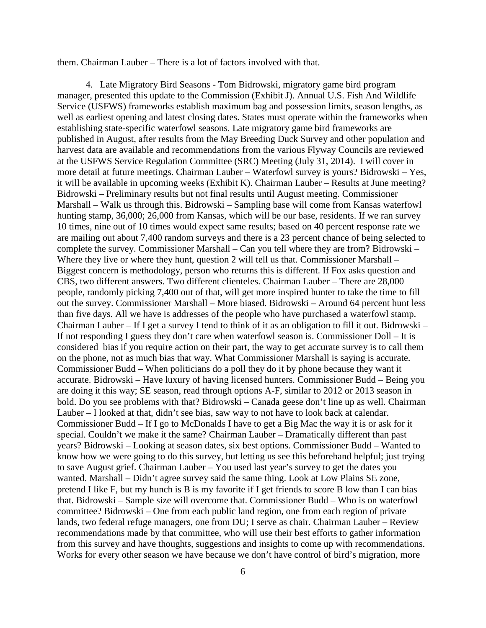them. Chairman Lauber – There is a lot of factors involved with that.

4. Late Migratory Bird Seasons - Tom Bidrowski, migratory game bird program manager, presented this update to the Commission (Exhibit J). Annual U.S. Fish And Wildlife Service (USFWS) frameworks establish maximum bag and possession limits, season lengths, as well as earliest opening and latest closing dates. States must operate within the frameworks when establishing state-specific waterfowl seasons. Late migratory game bird frameworks are published in August, after results from the May Breeding Duck Survey and other population and harvest data are available and recommendations from the various Flyway Councils are reviewed at the USFWS Service Regulation Committee (SRC) Meeting (July 31, 2014). I will cover in more detail at future meetings. Chairman Lauber – Waterfowl survey is yours? Bidrowski – Yes, it will be available in upcoming weeks (Exhibit K). Chairman Lauber – Results at June meeting? Bidrowski – Preliminary results but not final results until August meeting. Commissioner Marshall – Walk us through this. Bidrowski – Sampling base will come from Kansas waterfowl hunting stamp, 36,000; 26,000 from Kansas, which will be our base, residents. If we ran survey 10 times, nine out of 10 times would expect same results; based on 40 percent response rate we are mailing out about 7,400 random surveys and there is a 23 percent chance of being selected to complete the survey. Commissioner Marshall – Can you tell where they are from? Bidrowski – Where they live or where they hunt, question 2 will tell us that. Commissioner Marshall – Biggest concern is methodology, person who returns this is different. If Fox asks question and CBS, two different answers. Two different clienteles. Chairman Lauber – There are 28,000 people, randomly picking 7,400 out of that, will get more inspired hunter to take the time to fill out the survey. Commissioner Marshall – More biased. Bidrowski – Around 64 percent hunt less than five days. All we have is addresses of the people who have purchased a waterfowl stamp. Chairman Lauber – If I get a survey I tend to think of it as an obligation to fill it out. Bidrowski – If not responding I guess they don't care when waterfowl season is. Commissioner Doll – It is considered bias if you require action on their part, the way to get accurate survey is to call them on the phone, not as much bias that way. What Commissioner Marshall is saying is accurate. Commissioner Budd – When politicians do a poll they do it by phone because they want it accurate. Bidrowski – Have luxury of having licensed hunters. Commissioner Budd – Being you are doing it this way; SE season, read through options A-F, similar to 2012 or 2013 season in bold. Do you see problems with that? Bidrowski – Canada geese don't line up as well. Chairman Lauber – I looked at that, didn't see bias, saw way to not have to look back at calendar. Commissioner Budd – If I go to McDonalds I have to get a Big Mac the way it is or ask for it special. Couldn't we make it the same? Chairman Lauber – Dramatically different than past years? Bidrowski – Looking at season dates, six best options. Commissioner Budd – Wanted to know how we were going to do this survey, but letting us see this beforehand helpful; just trying to save August grief. Chairman Lauber – You used last year's survey to get the dates you wanted. Marshall – Didn't agree survey said the same thing. Look at Low Plains SE zone, pretend I like F, but my hunch is B is my favorite if I get friends to score B low than I can bias that. Bidrowski – Sample size will overcome that. Commissioner Budd – Who is on waterfowl committee? Bidrowski – One from each public land region, one from each region of private lands, two federal refuge managers, one from DU; I serve as chair. Chairman Lauber – Review recommendations made by that committee, who will use their best efforts to gather information from this survey and have thoughts, suggestions and insights to come up with recommendations. Works for every other season we have because we don't have control of bird's migration, more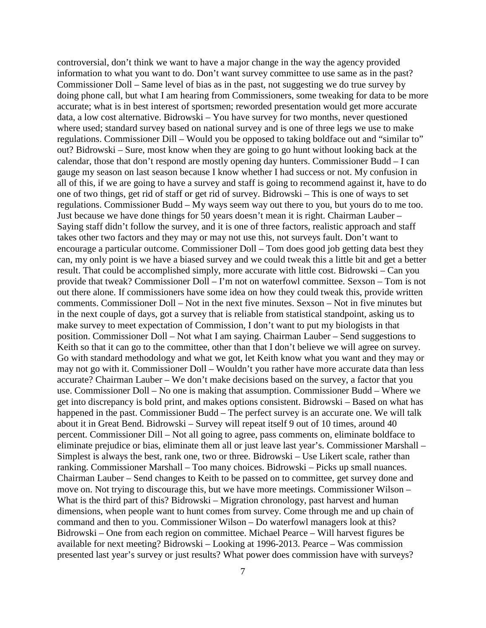controversial, don't think we want to have a major change in the way the agency provided information to what you want to do. Don't want survey committee to use same as in the past? Commissioner Doll – Same level of bias as in the past, not suggesting we do true survey by doing phone call, but what I am hearing from Commissioners, some tweaking for data to be more accurate; what is in best interest of sportsmen; reworded presentation would get more accurate data, a low cost alternative. Bidrowski – You have survey for two months, never questioned where used; standard survey based on national survey and is one of three legs we use to make regulations. Commissioner Dill – Would you be opposed to taking boldface out and "similar to" out? Bidrowski – Sure, most know when they are going to go hunt without looking back at the calendar, those that don't respond are mostly opening day hunters. Commissioner Budd – I can gauge my season on last season because I know whether I had success or not. My confusion in all of this, if we are going to have a survey and staff is going to recommend against it, have to do one of two things, get rid of staff or get rid of survey. Bidrowski – This is one of ways to set regulations. Commissioner Budd – My ways seem way out there to you, but yours do to me too. Just because we have done things for 50 years doesn't mean it is right. Chairman Lauber – Saying staff didn't follow the survey, and it is one of three factors, realistic approach and staff takes other two factors and they may or may not use this, not surveys fault. Don't want to encourage a particular outcome. Commissioner Doll – Tom does good job getting data best they can, my only point is we have a biased survey and we could tweak this a little bit and get a better result. That could be accomplished simply, more accurate with little cost. Bidrowski – Can you provide that tweak? Commissioner Doll – I'm not on waterfowl committee. Sexson – Tom is not out there alone. If commissioners have some idea on how they could tweak this, provide written comments. Commissioner Doll – Not in the next five minutes. Sexson – Not in five minutes but in the next couple of days, got a survey that is reliable from statistical standpoint, asking us to make survey to meet expectation of Commission, I don't want to put my biologists in that position. Commissioner Doll – Not what I am saying. Chairman Lauber – Send suggestions to Keith so that it can go to the committee, other than that I don't believe we will agree on survey. Go with standard methodology and what we got, let Keith know what you want and they may or may not go with it. Commissioner Doll – Wouldn't you rather have more accurate data than less accurate? Chairman Lauber – We don't make decisions based on the survey, a factor that you use. Commissioner Doll – No one is making that assumption. Commissioner Budd – Where we get into discrepancy is bold print, and makes options consistent. Bidrowski – Based on what has happened in the past. Commissioner Budd – The perfect survey is an accurate one. We will talk about it in Great Bend. Bidrowski – Survey will repeat itself 9 out of 10 times, around 40 percent. Commissioner Dill – Not all going to agree, pass comments on, eliminate boldface to eliminate prejudice or bias, eliminate them all or just leave last year's. Commissioner Marshall – Simplest is always the best, rank one, two or three. Bidrowski – Use Likert scale, rather than ranking. Commissioner Marshall – Too many choices. Bidrowski – Picks up small nuances. Chairman Lauber – Send changes to Keith to be passed on to committee, get survey done and move on. Not trying to discourage this, but we have more meetings. Commissioner Wilson – What is the third part of this? Bidrowski – Migration chronology, past harvest and human dimensions, when people want to hunt comes from survey. Come through me and up chain of command and then to you. Commissioner Wilson – Do waterfowl managers look at this? Bidrowski – One from each region on committee. Michael Pearce – Will harvest figures be available for next meeting? Bidrowski – Looking at 1996-2013. Pearce – Was commission presented last year's survey or just results? What power does commission have with surveys?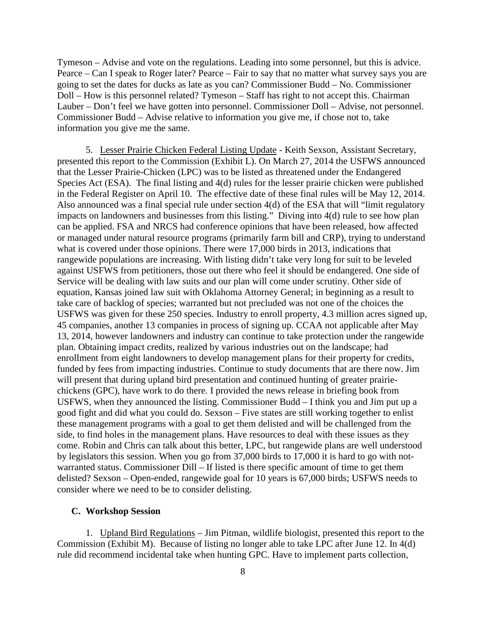Tymeson – Advise and vote on the regulations. Leading into some personnel, but this is advice. Pearce – Can I speak to Roger later? Pearce – Fair to say that no matter what survey says you are going to set the dates for ducks as late as you can? Commissioner Budd – No. Commissioner Doll – How is this personnel related? Tymeson – Staff has right to not accept this. Chairman Lauber – Don't feel we have gotten into personnel. Commissioner Doll – Advise, not personnel. Commissioner Budd – Advise relative to information you give me, if chose not to, take information you give me the same.

5. Lesser Prairie Chicken Federal Listing Update - Keith Sexson, Assistant Secretary, presented this report to the Commission (Exhibit L). On March 27, 2014 the USFWS announced that the Lesser Prairie-Chicken (LPC) was to be listed as threatened under the Endangered Species Act (ESA). The final listing and 4(d) rules for the lesser prairie chicken were published in the Federal Register on April 10. The effective date of these final rules will be May 12, 2014. Also announced was a final special rule under section 4(d) of the ESA that will "limit regulatory impacts on landowners and businesses from this listing." Diving into 4(d) rule to see how plan can be applied. FSA and NRCS had conference opinions that have been released, how affected or managed under natural resource programs (primarily farm bill and CRP), trying to understand what is covered under those opinions. There were 17,000 birds in 2013, indications that rangewide populations are increasing. With listing didn't take very long for suit to be leveled against USFWS from petitioners, those out there who feel it should be endangered. One side of Service will be dealing with law suits and our plan will come under scrutiny. Other side of equation, Kansas joined law suit with Oklahoma Attorney General; in beginning as a result to take care of backlog of species; warranted but not precluded was not one of the choices the USFWS was given for these 250 species. Industry to enroll property, 4.3 million acres signed up, 45 companies, another 13 companies in process of signing up. CCAA not applicable after May 13, 2014, however landowners and industry can continue to take protection under the rangewide plan. Obtaining impact credits, realized by various industries out on the landscape; had enrollment from eight landowners to develop management plans for their property for credits, funded by fees from impacting industries. Continue to study documents that are there now. Jim will present that during upland bird presentation and continued hunting of greater prairiechickens (GPC), have work to do there. I provided the news release in briefing book from USFWS, when they announced the listing. Commissioner Budd – I think you and Jim put up a good fight and did what you could do. Sexson – Five states are still working together to enlist these management programs with a goal to get them delisted and will be challenged from the side, to find holes in the management plans. Have resources to deal with these issues as they come. Robin and Chris can talk about this better, LPC, but rangewide plans are well understood by legislators this session. When you go from 37,000 birds to 17,000 it is hard to go with notwarranted status. Commissioner Dill – If listed is there specific amount of time to get them delisted? Sexson – Open-ended, rangewide goal for 10 years is 67,000 birds; USFWS needs to consider where we need to be to consider delisting.

#### **C. Workshop Session**

1. Upland Bird Regulations – Jim Pitman, wildlife biologist, presented this report to the Commission (Exhibit M). Because of listing no longer able to take LPC after June 12. In 4(d) rule did recommend incidental take when hunting GPC. Have to implement parts collection,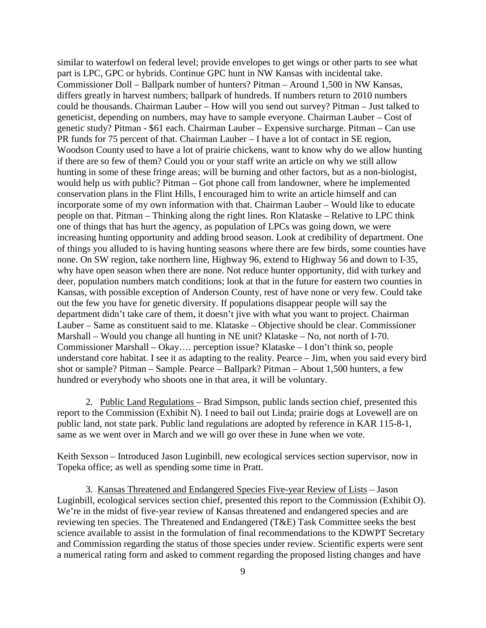similar to waterfowl on federal level; provide envelopes to get wings or other parts to see what part is LPC, GPC or hybrids. Continue GPC hunt in NW Kansas with incidental take. Commissioner Doll – Ballpark number of hunters? Pitman – Around 1,500 in NW Kansas, differs greatly in harvest numbers; ballpark of hundreds. If numbers return to 2010 numbers could be thousands. Chairman Lauber – How will you send out survey? Pitman – Just talked to geneticist, depending on numbers, may have to sample everyone. Chairman Lauber – Cost of genetic study? Pitman - \$61 each. Chairman Lauber – Expensive surcharge. Pitman – Can use PR funds for 75 percent of that. Chairman Lauber – I have a lot of contact in SE region, Woodson County used to have a lot of prairie chickens, want to know why do we allow hunting if there are so few of them? Could you or your staff write an article on why we still allow hunting in some of these fringe areas; will be burning and other factors, but as a non-biologist, would help us with public? Pitman – Got phone call from landowner, where he implemented conservation plans in the Flint Hills, I encouraged him to write an article himself and can incorporate some of my own information with that. Chairman Lauber – Would like to educate people on that. Pitman – Thinking along the right lines. Ron Klataske – Relative to LPC think one of things that has hurt the agency, as population of LPCs was going down, we were increasing hunting opportunity and adding brood season. Look at credibility of department. One of things you alluded to is having hunting seasons where there are few birds, some counties have none. On SW region, take northern line, Highway 96, extend to Highway 56 and down to I-35, why have open season when there are none. Not reduce hunter opportunity, did with turkey and deer, population numbers match conditions; look at that in the future for eastern two counties in Kansas, with possible exception of Anderson County, rest of have none or very few. Could take out the few you have for genetic diversity. If populations disappear people will say the department didn't take care of them, it doesn't jive with what you want to project. Chairman Lauber – Same as constituent said to me. Klataske – Objective should be clear. Commissioner Marshall – Would you change all hunting in NE unit? Klataske – No, not north of I-70. Commissioner Marshall – Okay…. perception issue? Klataske – I don't think so, people understand core habitat. I see it as adapting to the reality. Pearce – Jim, when you said every bird shot or sample? Pitman – Sample. Pearce – Ballpark? Pitman – About 1,500 hunters, a few hundred or everybody who shoots one in that area, it will be voluntary.

2. Public Land Regulations – Brad Simpson, public lands section chief, presented this report to the Commission (Exhibit N). I need to bail out Linda; prairie dogs at Lovewell are on public land, not state park. Public land regulations are adopted by reference in KAR 115-8-1, same as we went over in March and we will go over these in June when we vote.

Keith Sexson – Introduced Jason Luginbill, new ecological services section supervisor, now in Topeka office; as well as spending some time in Pratt.

3. Kansas Threatened and Endangered Species Five-year Review of Lists – Jason Luginbill, ecological services section chief, presented this report to the Commission (Exhibit O). We're in the midst of five-year review of Kansas threatened and endangered species and are reviewing ten species. The Threatened and Endangered (T&E) Task Committee seeks the best science available to assist in the formulation of final recommendations to the KDWPT Secretary and Commission regarding the status of those species under review. Scientific experts were sent a numerical rating form and asked to comment regarding the proposed listing changes and have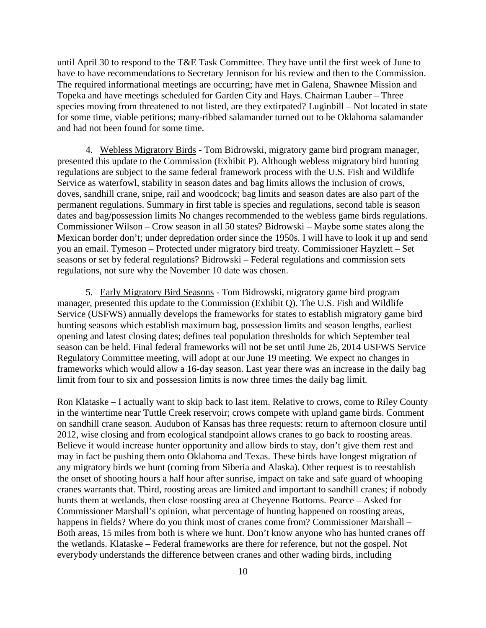until April 30 to respond to the T&E Task Committee. They have until the first week of June to have to have recommendations to Secretary Jennison for his review and then to the Commission. The required informational meetings are occurring; have met in Galena, Shawnee Mission and Topeka and have meetings scheduled for Garden City and Hays. Chairman Lauber – Three species moving from threatened to not listed, are they extirpated? Luginbill – Not located in state for some time, viable petitions; many-ribbed salamander turned out to be Oklahoma salamander and had not been found for some time.

4. Webless Migratory Birds - Tom Bidrowski, migratory game bird program manager, presented this update to the Commission (Exhibit P). Although webless migratory bird hunting regulations are subject to the same federal framework process with the U.S. Fish and Wildlife Service as waterfowl, stability in season dates and bag limits allows the inclusion of crows, doves, sandhill crane, snipe, rail and woodcock; bag limits and season dates are also part of the permanent regulations. Summary in first table is species and regulations, second table is season dates and bag/possession limits No changes recommended to the webless game birds regulations. Commissioner Wilson – Crow season in all 50 states? Bidrowski – Maybe some states along the Mexican border don't; under depredation order since the 1950s. I will have to look it up and send you an email. Tymeson – Protected under migratory bird treaty. Commissioner Hayzlett – Set seasons or set by federal regulations? Bidrowski – Federal regulations and commission sets regulations, not sure why the November 10 date was chosen.

5. Early Migratory Bird Seasons - Tom Bidrowski, migratory game bird program manager, presented this update to the Commission (Exhibit Q). The U.S. Fish and Wildlife Service (USFWS) annually develops the frameworks for states to establish migratory game bird hunting seasons which establish maximum bag, possession limits and season lengths, earliest opening and latest closing dates; defines teal population thresholds for which September teal season can be held. Final federal frameworks will not be set until June 26, 2014 USFWS Service Regulatory Committee meeting, will adopt at our June 19 meeting. We expect no changes in frameworks which would allow a 16-day season. Last year there was an increase in the daily bag limit from four to six and possession limits is now three times the daily bag limit.

Ron Klataske – I actually want to skip back to last item. Relative to crows, come to Riley County in the wintertime near Tuttle Creek reservoir; crows compete with upland game birds. Comment on sandhill crane season. Audubon of Kansas has three requests: return to afternoon closure until 2012, wise closing and from ecological standpoint allows cranes to go back to roosting areas. Believe it would increase hunter opportunity and allow birds to stay, don't give them rest and may in fact be pushing them onto Oklahoma and Texas. These birds have longest migration of any migratory birds we hunt (coming from Siberia and Alaska). Other request is to reestablish the onset of shooting hours a half hour after sunrise, impact on take and safe guard of whooping cranes warrants that. Third, roosting areas are limited and important to sandhill cranes; if nobody hunts them at wetlands, then close roosting area at Cheyenne Bottoms. Pearce – Asked for Commissioner Marshall's opinion, what percentage of hunting happened on roosting areas, happens in fields? Where do you think most of cranes come from? Commissioner Marshall – Both areas, 15 miles from both is where we hunt. Don't know anyone who has hunted cranes off the wetlands. Klataske – Federal frameworks are there for reference, but not the gospel. Not everybody understands the difference between cranes and other wading birds, including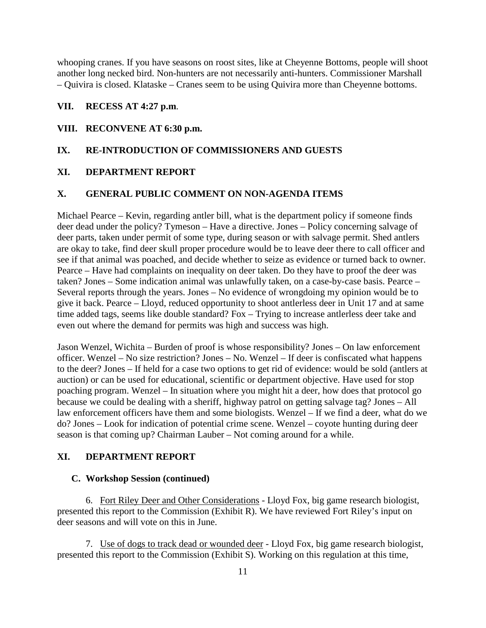whooping cranes. If you have seasons on roost sites, like at Cheyenne Bottoms, people will shoot another long necked bird. Non-hunters are not necessarily anti-hunters. Commissioner Marshall – Quivira is closed. Klataske – Cranes seem to be using Quivira more than Cheyenne bottoms.

### **VII. RECESS AT 4:27 p.m**.

#### **VIII. RECONVENE AT 6:30 p.m.**

### **IX. RE-INTRODUCTION OF COMMISSIONERS AND GUESTS**

#### **XI. DEPARTMENT REPORT**

#### **X. GENERAL PUBLIC COMMENT ON NON-AGENDA ITEMS**

Michael Pearce – Kevin, regarding antler bill, what is the department policy if someone finds deer dead under the policy? Tymeson – Have a directive. Jones – Policy concerning salvage of deer parts, taken under permit of some type, during season or with salvage permit. Shed antlers are okay to take, find deer skull proper procedure would be to leave deer there to call officer and see if that animal was poached, and decide whether to seize as evidence or turned back to owner. Pearce – Have had complaints on inequality on deer taken. Do they have to proof the deer was taken? Jones – Some indication animal was unlawfully taken, on a case-by-case basis. Pearce – Several reports through the years. Jones – No evidence of wrongdoing my opinion would be to give it back. Pearce – Lloyd, reduced opportunity to shoot antlerless deer in Unit 17 and at same time added tags, seems like double standard? Fox – Trying to increase antlerless deer take and even out where the demand for permits was high and success was high.

Jason Wenzel, Wichita – Burden of proof is whose responsibility? Jones – On law enforcement officer. Wenzel – No size restriction? Jones – No. Wenzel – If deer is confiscated what happens to the deer? Jones – If held for a case two options to get rid of evidence: would be sold (antlers at auction) or can be used for educational, scientific or department objective. Have used for stop poaching program. Wenzel – In situation where you might hit a deer, how does that protocol go because we could be dealing with a sheriff, highway patrol on getting salvage tag? Jones – All law enforcement officers have them and some biologists. Wenzel – If we find a deer, what do we do? Jones – Look for indication of potential crime scene. Wenzel – coyote hunting during deer season is that coming up? Chairman Lauber – Not coming around for a while.

#### **XI. DEPARTMENT REPORT**

#### **C. Workshop Session (continued)**

6. Fort Riley Deer and Other Considerations - Lloyd Fox, big game research biologist, presented this report to the Commission (Exhibit R). We have reviewed Fort Riley's input on deer seasons and will vote on this in June.

7. Use of dogs to track dead or wounded deer - Lloyd Fox, big game research biologist, presented this report to the Commission (Exhibit S). Working on this regulation at this time,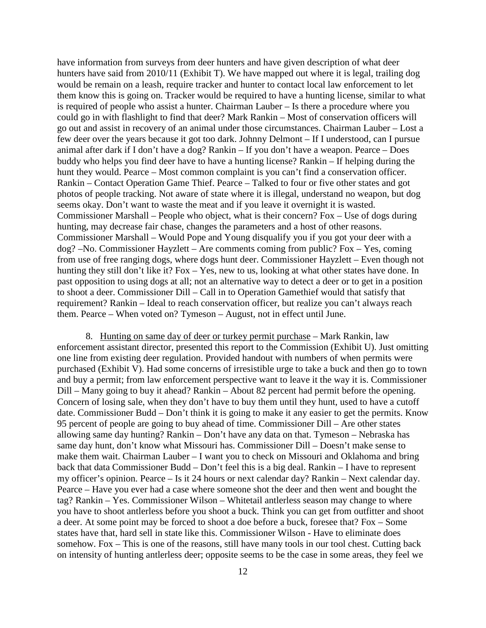have information from surveys from deer hunters and have given description of what deer hunters have said from 2010/11 (Exhibit T). We have mapped out where it is legal, trailing dog would be remain on a leash, require tracker and hunter to contact local law enforcement to let them know this is going on. Tracker would be required to have a hunting license, similar to what is required of people who assist a hunter. Chairman Lauber – Is there a procedure where you could go in with flashlight to find that deer? Mark Rankin – Most of conservation officers will go out and assist in recovery of an animal under those circumstances. Chairman Lauber – Lost a few deer over the years because it got too dark. Johnny Delmont – If I understood, can I pursue animal after dark if I don't have a dog? Rankin – If you don't have a weapon. Pearce – Does buddy who helps you find deer have to have a hunting license? Rankin – If helping during the hunt they would. Pearce – Most common complaint is you can't find a conservation officer. Rankin – Contact Operation Game Thief. Pearce – Talked to four or five other states and got photos of people tracking. Not aware of state where it is illegal, understand no weapon, but dog seems okay. Don't want to waste the meat and if you leave it overnight it is wasted. Commissioner Marshall – People who object, what is their concern? Fox – Use of dogs during hunting, may decrease fair chase, changes the parameters and a host of other reasons. Commissioner Marshall – Would Pope and Young disqualify you if you got your deer with a dog? –No. Commissioner Hayzlett – Are comments coming from public? Fox – Yes, coming from use of free ranging dogs, where dogs hunt deer. Commissioner Hayzlett – Even though not hunting they still don't like it? Fox – Yes, new to us, looking at what other states have done. In past opposition to using dogs at all; not an alternative way to detect a deer or to get in a position to shoot a deer. Commissioner Dill – Call in to Operation Gamethief would that satisfy that requirement? Rankin – Ideal to reach conservation officer, but realize you can't always reach them. Pearce – When voted on? Tymeson – August, not in effect until June.

8. Hunting on same day of deer or turkey permit purchase – Mark Rankin, law enforcement assistant director, presented this report to the Commission (Exhibit U). Just omitting one line from existing deer regulation. Provided handout with numbers of when permits were purchased (Exhibit V). Had some concerns of irresistible urge to take a buck and then go to town and buy a permit; from law enforcement perspective want to leave it the way it is. Commissioner Dill – Many going to buy it ahead? Rankin – About 82 percent had permit before the opening. Concern of losing sale, when they don't have to buy them until they hunt, used to have a cutoff date. Commissioner Budd – Don't think it is going to make it any easier to get the permits. Know 95 percent of people are going to buy ahead of time. Commissioner Dill – Are other states allowing same day hunting? Rankin – Don't have any data on that. Tymeson – Nebraska has same day hunt, don't know what Missouri has. Commissioner Dill – Doesn't make sense to make them wait. Chairman Lauber – I want you to check on Missouri and Oklahoma and bring back that data Commissioner Budd – Don't feel this is a big deal. Rankin – I have to represent my officer's opinion. Pearce – Is it 24 hours or next calendar day? Rankin – Next calendar day. Pearce – Have you ever had a case where someone shot the deer and then went and bought the tag? Rankin – Yes. Commissioner Wilson – Whitetail antlerless season may change to where you have to shoot antlerless before you shoot a buck. Think you can get from outfitter and shoot a deer. At some point may be forced to shoot a doe before a buck, foresee that? Fox – Some states have that, hard sell in state like this. Commissioner Wilson - Have to eliminate does somehow. Fox – This is one of the reasons, still have many tools in our tool chest. Cutting back on intensity of hunting antlerless deer; opposite seems to be the case in some areas, they feel we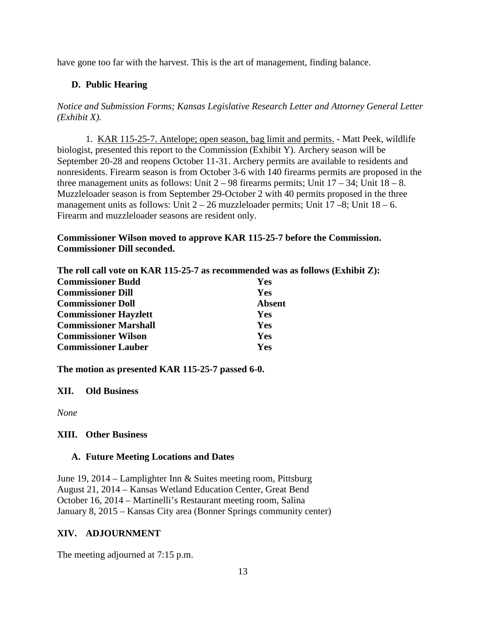have gone too far with the harvest. This is the art of management, finding balance.

# **D. Public Hearing**

*Notice and Submission Forms; Kansas Legislative Research Letter and Attorney General Letter (Exhibit X).*

1. KAR 115-25-7. Antelope; open season, bag limit and permits. - Matt Peek, wildlife biologist, presented this report to the Commission (Exhibit Y). Archery season will be September 20-28 and reopens October 11-31. Archery permits are available to residents and nonresidents. Firearm season is from October 3-6 with 140 firearms permits are proposed in the three management units as follows: Unit  $2 - 98$  firearms permits; Unit  $17 - 34$ ; Unit  $18 - 8$ . Muzzleloader season is from September 29-October 2 with 40 permits proposed in the three management units as follows: Unit  $2 - 26$  muzzleloader permits; Unit  $17 - 8$ ; Unit  $18 - 6$ . Firearm and muzzleloader seasons are resident only.

# **Commissioner Wilson moved to approve KAR 115-25-7 before the Commission. Commissioner Dill seconded.**

**The roll call vote on KAR 115-25-7 as recommended was as follows (Exhibit Z):**

| <b>Commissioner Budd</b>     | <b>Yes</b>    |
|------------------------------|---------------|
| <b>Commissioner Dill</b>     | Yes           |
| <b>Commissioner Doll</b>     | <b>Absent</b> |
| <b>Commissioner Hayzlett</b> | <b>Yes</b>    |
| <b>Commissioner Marshall</b> | Yes           |
| <b>Commissioner Wilson</b>   | Yes           |
| <b>Commissioner Lauber</b>   | Yes           |

**The motion as presented KAR 115-25-7 passed 6-0.**

# **XII. Old Business**

*None*

# **XIII. Other Business**

### **A. Future Meeting Locations and Dates**

June 19, 2014 – Lamplighter Inn & Suites meeting room, Pittsburg August 21, 2014 – Kansas Wetland Education Center, Great Bend October 16, 2014 – Martinelli's Restaurant meeting room, Salina January 8, 2015 – Kansas City area (Bonner Springs community center)

# **XIV. ADJOURNMENT**

The meeting adjourned at 7:15 p.m.